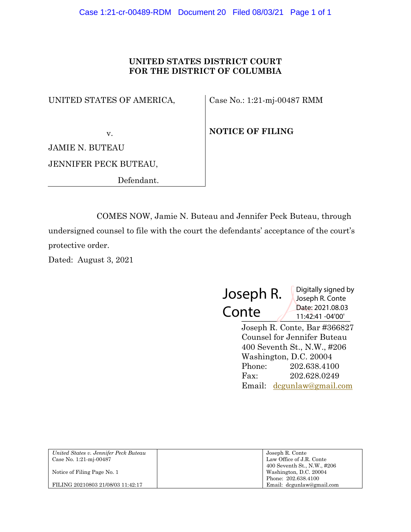# **UNITED STATES DISTRICT COURT FOR THE DISTRICT OF COLUMBIA**

UNITED STATES OF AMERICA,

Case No.: 1:21-mj-00487 RMM

v.

**NOTICE OF FILING**

JAMIE N. BUTEAU

JENNIFER PECK BUTEAU,

Defendant.

COMES NOW, Jamie N. Buteau and Jennifer Peck Buteau, through undersigned counsel to file with the court the defendants' acceptance of the court's protective order.

Dated: August 3, 2021

 $\frac{11.42:41-04'00'}{11:42:41-04'00'}$ Joseph R. **Conte** Digitally signed by Joseph R. Conte Date: 2021.08.03

> Joseph R. Conte, Bar #366827 Counsel for Jennifer Buteau 400 Seventh St., N.W., #206 Washington, D.C. 20004 Phone: 202.638.4100 Fax: 202.628.0249 Email: dcgunlaw@gmail.com

| United States v. Jennifer Peck Buteau | Joseph R. Conte             |
|---------------------------------------|-----------------------------|
| Case No. 1:21-mj-00487                | Law Office of J.R. Conte    |
|                                       | 400 Seventh St., N.W., #206 |
| Notice of Filing Page No. 1           | Washington, D.C. 20004      |
|                                       | Phone: 202.638.4100         |
| FILING 20210803 21/08/03 11:42:17     | Email: dcgunlaw@gmail.com   |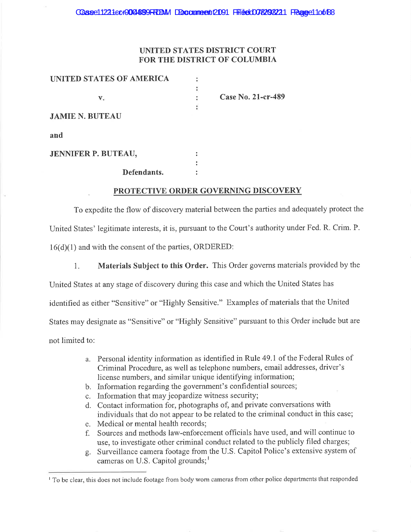## UNITED STATES DISTRICT COURT FOR THE DISTRICT OF COLUMBIA

Case No. 21-cr-489

| UNITED STATES OF AMERICA |  |
|--------------------------|--|
|                          |  |
| $V_{-}$                  |  |
|                          |  |
| <b>JAMIE N. BUTEAU</b>   |  |
| and                      |  |
| JENNIFER P. BUTEAU,      |  |
|                          |  |

Defendants.

## PROTECTIVE ORDER GOVERNING DISCOVERY

 $\ddot{\cdot}$ 

To expedite the flow of discovery material between the parties and adequately protect the United States' legitimate interests, it is, pursuant to the Court's authority under Fed. R. Crim. P.  $16(d)(1)$  and with the consent of the parties, ORDERED:

1. Materials Subject to this Order. This Order governs materials provided by the United States at any stage of discovery during this case and which the United States has identified as either "Sensitive" or "Highly Sensitive." Examples of materials that the United States may designate as "Sensitive" or "Highly Sensitive" pursuant to this Order include but are not limited to:

- a. Personal identity information as identified in Rule 49.1 of the Federal Rules of Criminal Procedure, as well as telephone numbers, email addresses, driver's license numbers, and similar unique identifying information;
- b. Information regarding the government's confidential sources;
- c. Information that may jeopardize witness security;
- d. Contact information for, photographs of, and private conversations with individuals that do not appear to be related to the criminal conduct in this case;
- e. Medical or mental health records:
- f. Sources and methods law-enforcement officials have used, and will continue to use, to investigate other criminal conduct related to the publicly filed charges;
- g. Surveillance camera footage from the U.S. Capitol Police's extensive system of cameras on U.S. Capitol grounds;<sup>1</sup>

To be clear, this does not include footage from body worn cameras from other police departments that responded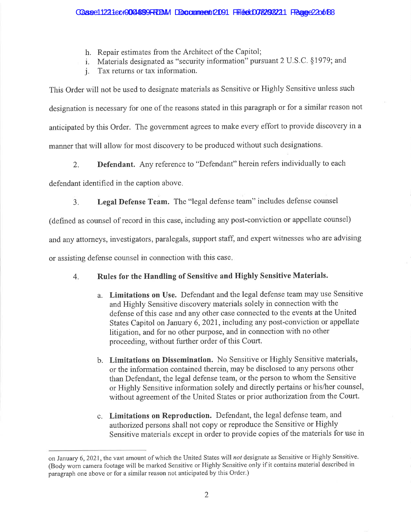- h. Repair estimates from the Architect of the Capitol;
- i. Materials designated as "security information" pursuant 2 U.S.C. §1979; and
- Tax returns or tax information.  $i_{\rm r}$

This Order will not be used to designate materials as Sensitive or Highly Sensitive unless such designation is necessary for one of the reasons stated in this paragraph or for a similar reason not anticipated by this Order. The government agrees to make every effort to provide discovery in a manner that will allow for most discovery to be produced without such designations.

Defendant. Any reference to "Defendant" herein refers individually to each  $2.$ 

defendant identified in the caption above.

Legal Defense Team. The "legal defense team" includes defense counsel  $\overline{3}$ .

(defined as counsel of record in this case, including any post-conviction or appellate counsel)

and any attorneys, investigators, paralegals, support staff, and expert witnesses who are advising

or assisting defense counsel in connection with this case.

#### Rules for the Handling of Sensitive and Highly Sensitive Materials.  $4.$

- a. Limitations on Use. Defendant and the legal defense team may use Sensitive and Highly Sensitive discovery materials solely in connection with the defense of this case and any other case connected to the events at the United States Capitol on January 6, 2021, including any post-conviction or appellate litigation, and for no other purpose, and in connection with no other proceeding, without further order of this Court.
- b. Limitations on Dissemination. No Sensitive or Highly Sensitive materials, or the information contained therein, may be disclosed to any persons other than Defendant, the legal defense team, or the person to whom the Sensitive or Highly Sensitive information solely and directly pertains or his/her counsel, without agreement of the United States or prior authorization from the Court.
- c. Limitations on Reproduction. Defendant, the legal defense team, and authorized persons shall not copy or reproduce the Sensitive or Highly Sensitive materials except in order to provide copies of the materials for use in

on January 6, 2021, the vast amount of which the United States will not designate as Sensitive or Highly Sensitive. (Body worn camera footage will be marked Sensitive or Highly Sensitive only if it contains material described in paragraph one above or for a similar reason not anticipated by this Order.)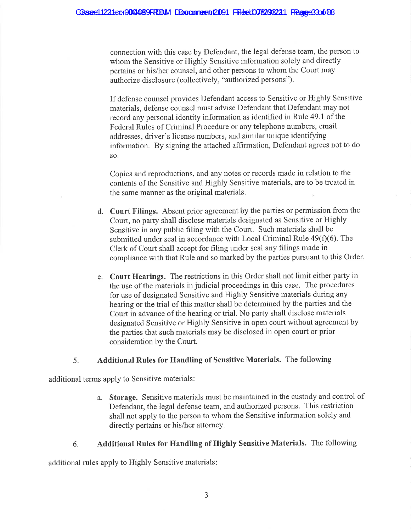connection with this case by Defendant, the legal defense team, the person to whom the Sensitive or Highly Sensitive information solely and directly pertains or his/her counsel, and other persons to whom the Court may authorize disclosure (collectively, "authorized persons").

If defense counsel provides Defendant access to Sensitive or Highly Sensitive materials, defense counsel must advise Defendant that Defendant may not record any personal identity information as identified in Rule 49.1 of the Federal Rules of Criminal Procedure or any telephone numbers, email addresses, driver's license numbers, and similar unique identifying information. By signing the attached affirmation, Defendant agrees not to do SO.

Copies and reproductions, and any notes or records made in relation to the contents of the Sensitive and Highly Sensitive materials, are to be treated in the same manner as the original materials.

- d. Court Filings. Absent prior agreement by the parties or permission from the Court, no party shall disclose materials designated as Sensitive or Highly Sensitive in any public filing with the Court. Such materials shall be submitted under seal in accordance with Local Criminal Rule 49(f)(6). The Clerk of Court shall accept for filing under seal any filings made in compliance with that Rule and so marked by the parties pursuant to this Order.
- e. Court Hearings. The restrictions in this Order shall not limit either party in the use of the materials in judicial proceedings in this case. The procedures for use of designated Sensitive and Highly Sensitive materials during any hearing or the trial of this matter shall be determined by the parties and the Court in advance of the hearing or trial. No party shall disclose materials designated Sensitive or Highly Sensitive in open court without agreement by the parties that such materials may be disclosed in open court or prior consideration by the Court.

#### Additional Rules for Handling of Sensitive Materials. The following 5.

additional terms apply to Sensitive materials:

a. Storage. Sensitive materials must be maintained in the custody and control of Defendant, the legal defense team, and authorized persons. This restriction shall not apply to the person to whom the Sensitive information solely and directly pertains or his/her attorney.

#### **Additional Rules for Handling of Highly Sensitive Materials.** The following 6.

additional rules apply to Highly Sensitive materials: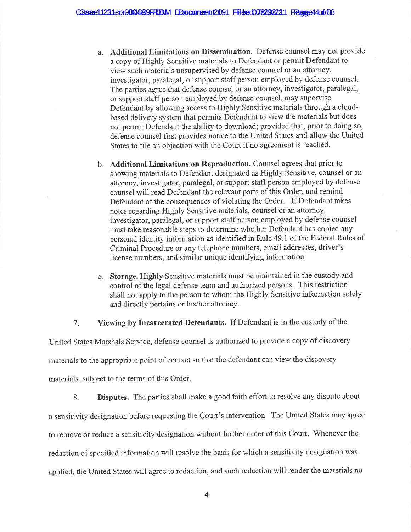- a. Additional Limitations on Dissemination. Defense counsel may not provide a copy of Highly Sensitive materials to Defendant or permit Defendant to view such materials unsupervised by defense counsel or an attorney, investigator, paralegal, or support staff person employed by defense counsel. The parties agree that defense counsel or an attorney, investigator, paralegal, or support staff person employed by defense counsel, may supervise Defendant by allowing access to Highly Sensitive materials through a cloudbased delivery system that permits Defendant to view the materials but does not permit Defendant the ability to download; provided that, prior to doing so, defense counsel first provides notice to the United States and allow the United States to file an objection with the Court if no agreement is reached.
- b. Additional Limitations on Reproduction. Counsel agrees that prior to showing materials to Defendant designated as Highly Sensitive, counsel or an attorney, investigator, paralegal, or support staff person employed by defense counsel will read Defendant the relevant parts of this Order, and remind Defendant of the consequences of violating the Order. If Defendant takes notes regarding Highly Sensitive materials, counsel or an attorney, investigator, paralegal, or support staff person employed by defense counsel must take reasonable steps to determine whether Defendant has copied any personal identity information as identified in Rule 49.1 of the Federal Rules of Criminal Procedure or any telephone numbers, email addresses, driver's license numbers, and similar unique identifying information.
- c. Storage. Highly Sensitive materials must be maintained in the custody and control of the legal defense team and authorized persons. This restriction shall not apply to the person to whom the Highly Sensitive information solely and directly pertains or his/her attorney.

Viewing by Incarcerated Defendants. If Defendant is in the custody of the  $7<sub>1</sub>$ 

United States Marshals Service, defense counsel is authorized to provide a copy of discovery materials to the appropriate point of contact so that the defendant can view the discovery materials, subject to the terms of this Order.

Disputes. The parties shall make a good faith effort to resolve any dispute about 8. a sensitivity designation before requesting the Court's intervention. The United States may agree to remove or reduce a sensitivity designation without further order of this Court. Whenever the redaction of specified information will resolve the basis for which a sensitivity designation was applied, the United States will agree to redaction, and such redaction will render the materials no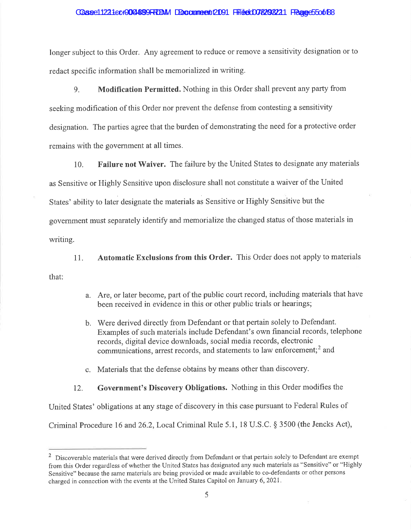### CGasee11221ecr0024899RRDM Doccumeent2091 Filited078298221 FRance5500188

longer subject to this Order. Any agreement to reduce or remove a sensitivity designation or to redact specific information shall be memorialized in writing.

Modification Permitted. Nothing in this Order shall prevent any party from 9. seeking modification of this Order nor prevent the defense from contesting a sensitivity designation. The parties agree that the burden of demonstrating the need for a protective order remains with the government at all times.

Failure not Waiver. The failure by the United States to designate any materials  $10.$ as Sensitive or Highly Sensitive upon disclosure shall not constitute a waiver of the United States' ability to later designate the materials as Sensitive or Highly Sensitive but the government must separately identify and memorialize the changed status of those materials in writing.

Automatic Exclusions from this Order. This Order does not apply to materials 11. that:

- a. Are, or later become, part of the public court record, including materials that have been received in evidence in this or other public trials or hearings;
- b. Were derived directly from Defendant or that pertain solely to Defendant. Examples of such materials include Defendant's own financial records, telephone records, digital device downloads, social media records, electronic communications, arrest records, and statements to law enforcement:<sup>2</sup> and
- c. Materials that the defense obtains by means other than discovery.

Government's Discovery Obligations. Nothing in this Order modifies the 12.

United States' obligations at any stage of discovery in this case pursuant to Federal Rules of

Criminal Procedure 16 and 26.2, Local Criminal Rule 5.1, 18 U.S.C. § 3500 (the Jencks Act),

<sup>&</sup>lt;sup>2</sup> Discoverable materials that were derived directly from Defendant or that pertain solely to Defendant are exempt from this Order regardless of whether the United States has designated any such materials as "Sensitive" or "Highly Sensitive" because the same materials are being provided or made available to co-defendants or other persons charged in connection with the events at the United States Capitol on January 6, 2021.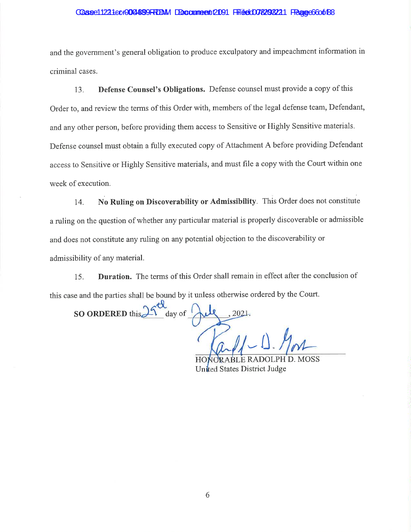### CGase11221ec+0024899FRIDM DDccumment (2091 Filided008298221 FRage66o0188

and the government's general obligation to produce exculpatory and impeachment information in criminal cases.

Defense Counsel's Obligations. Defense counsel must provide a copy of this 13. Order to, and review the terms of this Order with, members of the legal defense team, Defendant, and any other person, before providing them access to Sensitive or Highly Sensitive materials. Defense counsel must obtain a fully executed copy of Attachment A before providing Defendant access to Sensitive or Highly Sensitive materials, and must file a copy with the Court within one week of execution.

No Ruling on Discoverability or Admissibility. This Order does not constitute 14. a ruling on the question of whether any particular material is properly discoverable or admissible and does not constitute any ruling on any potential objection to the discoverability or admissibility of any material.

Duration. The terms of this Order shall remain in effect after the conclusion of 15. this case and the parties shall be bound by it unless otherwise ordered by the Court.

SO ORDERED this 1 day of  $2021.$ 

PH D. MOSS BLE R United States District Judge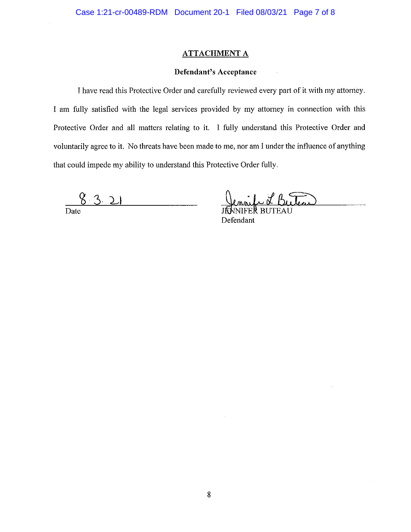## **ATTACHMENT A**

### **Defendant's Acceptance**

I have read this Protective Order and carefully reviewed every part of it with my attorney. I am fully satisfied with the legal services provided by my attorney in connection with this Protective Order and all matters relating to it. I fully understand this Protective Order and voluntarily agree to it. No threats have been made to me, nor am I under the influence of anything that could impede my ability to understand this Protective Order fully.

8321  $\frac{1}{\text{Date}}$ 

Defendant